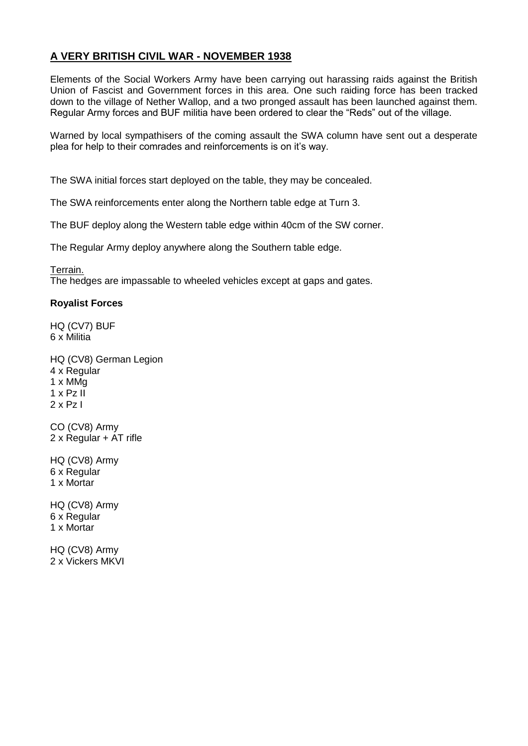## **A VERY BRITISH CIVIL WAR - NOVEMBER 1938**

Elements of the Social Workers Army have been carrying out harassing raids against the British Union of Fascist and Government forces in this area. One such raiding force has been tracked down to the village of Nether Wallop, and a two pronged assault has been launched against them. Regular Army forces and BUF militia have been ordered to clear the "Reds" out of the village.

Warned by local sympathisers of the coming assault the SWA column have sent out a desperate plea for help to their comrades and reinforcements is on it's way.

The SWA initial forces start deployed on the table, they may be concealed.

The SWA reinforcements enter along the Northern table edge at Turn 3.

The BUF deploy along the Western table edge within 40cm of the SW corner.

The Regular Army deploy anywhere along the Southern table edge.

Terrain.

The hedges are impassable to wheeled vehicles except at gaps and gates.

## **Royalist Forces**

HQ (CV7) BUF 6 x Militia

HQ (CV8) German Legion 4 x Regular 1 x MMg  $1 \times$  Pz II  $2 \times$  Pz I

CO (CV8) Army 2 x Regular + AT rifle

HQ (CV8) Army 6 x Regular 1 x Mortar

HQ (CV8) Army 6 x Regular 1 x Mortar

HQ (CV8) Army 2 x Vickers MKVI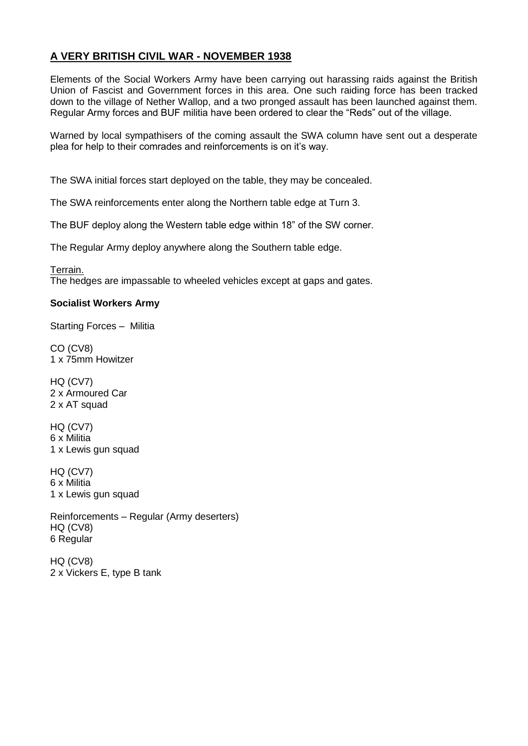## **A VERY BRITISH CIVIL WAR - NOVEMBER 1938**

Elements of the Social Workers Army have been carrying out harassing raids against the British Union of Fascist and Government forces in this area. One such raiding force has been tracked down to the village of Nether Wallop, and a two pronged assault has been launched against them. Regular Army forces and BUF militia have been ordered to clear the "Reds" out of the village.

Warned by local sympathisers of the coming assault the SWA column have sent out a desperate plea for help to their comrades and reinforcements is on it's way.

The SWA initial forces start deployed on the table, they may be concealed.

The SWA reinforcements enter along the Northern table edge at Turn 3.

The BUF deploy along the Western table edge within 18" of the SW corner.

The Regular Army deploy anywhere along the Southern table edge.

Terrain. The hedges are impassable to wheeled vehicles except at gaps and gates.

## **Socialist Workers Army**

Starting Forces – Militia

CO (CV8) 1 x 75mm Howitzer

HQ (CV7) 2 x Armoured Car 2 x AT squad

HQ (CV7) 6 x Militia 1 x Lewis gun squad

HQ (CV7) 6 x Militia 1 x Lewis gun squad

Reinforcements – Regular (Army deserters) HQ (CV8) 6 Regular

HQ (CV8) 2 x Vickers E, type B tank